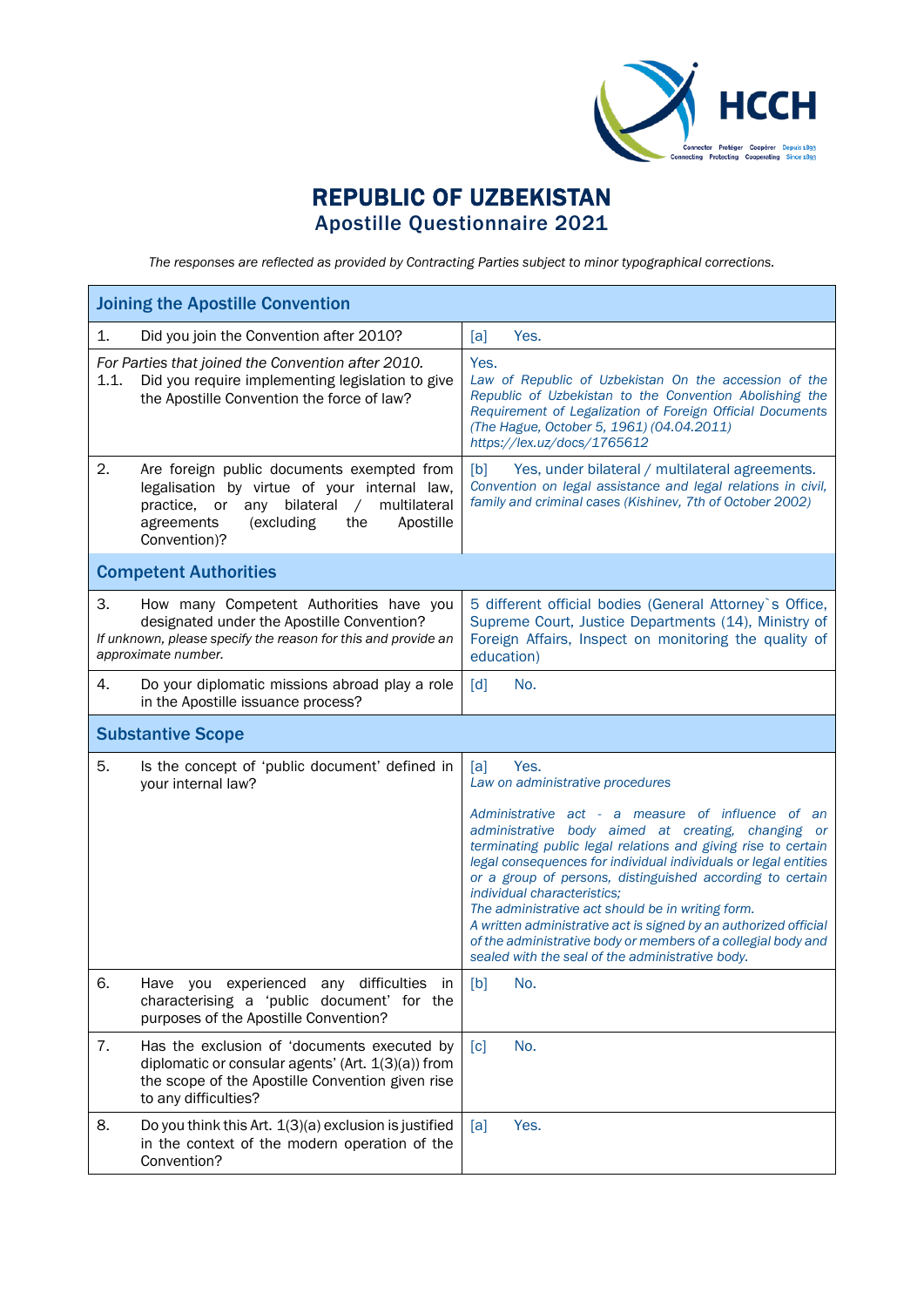

## REPUBLIC OF UZBEKISTAN Apostille Questionnaire 2021

*The responses are reflected as provided by Contracting Parties subject to minor typographical corrections.*

|      | <b>Joining the Apostille Convention</b>                                                                                                                                                                                         |                                                                                                                                                                                                                                                                                                                                                                                                                                                                                                                                                                                       |  |  |  |
|------|---------------------------------------------------------------------------------------------------------------------------------------------------------------------------------------------------------------------------------|---------------------------------------------------------------------------------------------------------------------------------------------------------------------------------------------------------------------------------------------------------------------------------------------------------------------------------------------------------------------------------------------------------------------------------------------------------------------------------------------------------------------------------------------------------------------------------------|--|--|--|
| 1.   | Did you join the Convention after 2010?                                                                                                                                                                                         | [a]<br>Yes.                                                                                                                                                                                                                                                                                                                                                                                                                                                                                                                                                                           |  |  |  |
| 1.1. | For Parties that joined the Convention after 2010.<br>Did you require implementing legislation to give<br>the Apostille Convention the force of law?                                                                            | Yes.<br>Law of Republic of Uzbekistan On the accession of the<br>Republic of Uzbekistan to the Convention Abolishing the<br>Requirement of Legalization of Foreign Official Documents<br>(The Hague, October 5, 1961) (04.04.2011)<br>https://lex.uz/docs/1765612                                                                                                                                                                                                                                                                                                                     |  |  |  |
| 2.   | Are foreign public documents exempted from<br>legalisation by virtue of your internal law,<br>multilateral<br>practice,<br>or<br>any<br>bilateral<br>$\sqrt{2}$<br>Apostille<br>agreements<br>(excluding<br>the<br>Convention)? | Yes, under bilateral / multilateral agreements.<br>[b]<br>Convention on legal assistance and legal relations in civil,<br>family and criminal cases (Kishinev, 7th of October 2002)                                                                                                                                                                                                                                                                                                                                                                                                   |  |  |  |
|      | <b>Competent Authorities</b>                                                                                                                                                                                                    |                                                                                                                                                                                                                                                                                                                                                                                                                                                                                                                                                                                       |  |  |  |
| 3.   | How many Competent Authorities have you<br>designated under the Apostille Convention?<br>If unknown, please specify the reason for this and provide an<br>approximate number.                                                   | 5 different official bodies (General Attorney's Office,<br>Supreme Court, Justice Departments (14), Ministry of<br>Foreign Affairs, Inspect on monitoring the quality of<br>education)                                                                                                                                                                                                                                                                                                                                                                                                |  |  |  |
| 4.   | Do your diplomatic missions abroad play a role<br>in the Apostille issuance process?                                                                                                                                            | [d]<br>No.                                                                                                                                                                                                                                                                                                                                                                                                                                                                                                                                                                            |  |  |  |
|      | <b>Substantive Scope</b>                                                                                                                                                                                                        |                                                                                                                                                                                                                                                                                                                                                                                                                                                                                                                                                                                       |  |  |  |
| 5.   | Is the concept of 'public document' defined in<br>your internal law?                                                                                                                                                            | Yes.<br>[a]<br>Law on administrative procedures                                                                                                                                                                                                                                                                                                                                                                                                                                                                                                                                       |  |  |  |
|      |                                                                                                                                                                                                                                 | Administrative act - a measure of influence of an<br>administrative body aimed at creating, changing or<br>terminating public legal relations and giving rise to certain<br>legal consequences for individual individuals or legal entities<br>or a group of persons, distinguished according to certain<br>individual characteristics;<br>The administrative act should be in writing form.<br>A written administrative act is signed by an authorized official<br>of the administrative body or members of a collegial body and<br>sealed with the seal of the administrative body. |  |  |  |
| 6.   | Have you experienced any difficulties in<br>characterising a 'public document' for the<br>purposes of the Apostille Convention?                                                                                                 | [b]<br>No.                                                                                                                                                                                                                                                                                                                                                                                                                                                                                                                                                                            |  |  |  |
| 7.   | Has the exclusion of 'documents executed by<br>diplomatic or consular agents' (Art. 1(3)(a)) from<br>the scope of the Apostille Convention given rise<br>to any difficulties?                                                   | No.<br>$\lceil c \rceil$                                                                                                                                                                                                                                                                                                                                                                                                                                                                                                                                                              |  |  |  |
| 8.   | Do you think this Art. 1(3)(a) exclusion is justified<br>in the context of the modern operation of the<br>Convention?                                                                                                           | Yes.<br>[a]                                                                                                                                                                                                                                                                                                                                                                                                                                                                                                                                                                           |  |  |  |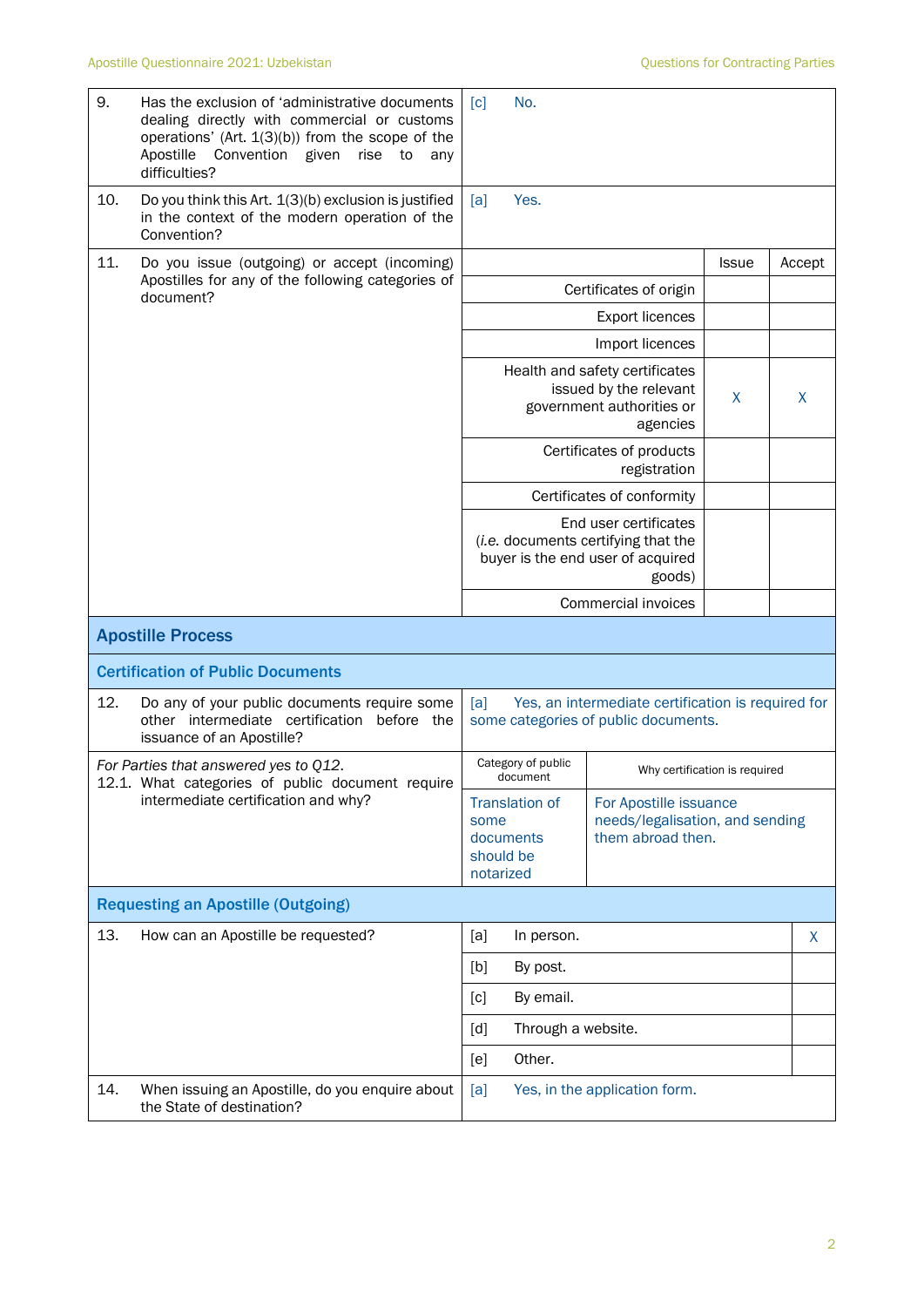| 9.  | Has the exclusion of 'administrative documents<br>dealing directly with commercial or customs<br>operations' (Art. $1(3)(b)$ ) from the scope of the<br>Convention given<br>Apostille<br>rise<br>to<br>any<br>difficulties? | No.<br>$\lceil c \rceil$                                                                                    |                                                                                |        |   |
|-----|-----------------------------------------------------------------------------------------------------------------------------------------------------------------------------------------------------------------------------|-------------------------------------------------------------------------------------------------------------|--------------------------------------------------------------------------------|--------|---|
| 10. | Do you think this Art. 1(3)(b) exclusion is justified<br>in the context of the modern operation of the<br>Convention?                                                                                                       | [a]<br>Yes.                                                                                                 |                                                                                |        |   |
| 11. | Do you issue (outgoing) or accept (incoming)                                                                                                                                                                                |                                                                                                             | <b>Issue</b>                                                                   | Accept |   |
|     | Apostilles for any of the following categories of<br>document?                                                                                                                                                              |                                                                                                             | Certificates of origin                                                         |        |   |
|     |                                                                                                                                                                                                                             |                                                                                                             | <b>Export licences</b>                                                         |        |   |
|     |                                                                                                                                                                                                                             | Import licences                                                                                             |                                                                                |        |   |
|     |                                                                                                                                                                                                                             | Health and safety certificates<br>issued by the relevant<br>government authorities or                       | X                                                                              | X      |   |
|     |                                                                                                                                                                                                                             | Certificates of products                                                                                    |                                                                                |        |   |
|     |                                                                                                                                                                                                                             |                                                                                                             | Certificates of conformity                                                     |        |   |
|     |                                                                                                                                                                                                                             | End user certificates<br>(i.e. documents certifying that the<br>buyer is the end user of acquired<br>goods) |                                                                                |        |   |
|     |                                                                                                                                                                                                                             |                                                                                                             | Commercial invoices                                                            |        |   |
|     | <b>Apostille Process</b>                                                                                                                                                                                                    |                                                                                                             |                                                                                |        |   |
|     | <b>Certification of Public Documents</b>                                                                                                                                                                                    |                                                                                                             |                                                                                |        |   |
| 12. | Do any of your public documents require some<br>other intermediate certification before the<br>issuance of an Apostille?                                                                                                    | [a]<br>Yes, an intermediate certification is required for<br>some categories of public documents.           |                                                                                |        |   |
|     | For Parties that answered yes to Q12.<br>12.1. What categories of public document require                                                                                                                                   | Category of public<br>document                                                                              | Why certification is required                                                  |        |   |
|     | intermediate certification and why?                                                                                                                                                                                         | <b>Translation of</b><br>some<br>documents<br>should be<br>notarized                                        | For Apostille issuance<br>needs/legalisation, and sending<br>them abroad then. |        |   |
|     | <b>Requesting an Apostille (Outgoing)</b>                                                                                                                                                                                   |                                                                                                             |                                                                                |        |   |
| 13. | How can an Apostille be requested?                                                                                                                                                                                          | [a]<br>In person.                                                                                           |                                                                                |        | X |
|     |                                                                                                                                                                                                                             | [b]<br>By post.                                                                                             |                                                                                |        |   |
|     |                                                                                                                                                                                                                             | By email.<br>[c]                                                                                            |                                                                                |        |   |
|     |                                                                                                                                                                                                                             | Through a website.<br>[d]                                                                                   |                                                                                |        |   |
|     |                                                                                                                                                                                                                             | Other.<br>[e]                                                                                               |                                                                                |        |   |
| 14. | When issuing an Apostille, do you enquire about<br>the State of destination?                                                                                                                                                | Yes, in the application form.<br>[a]                                                                        |                                                                                |        |   |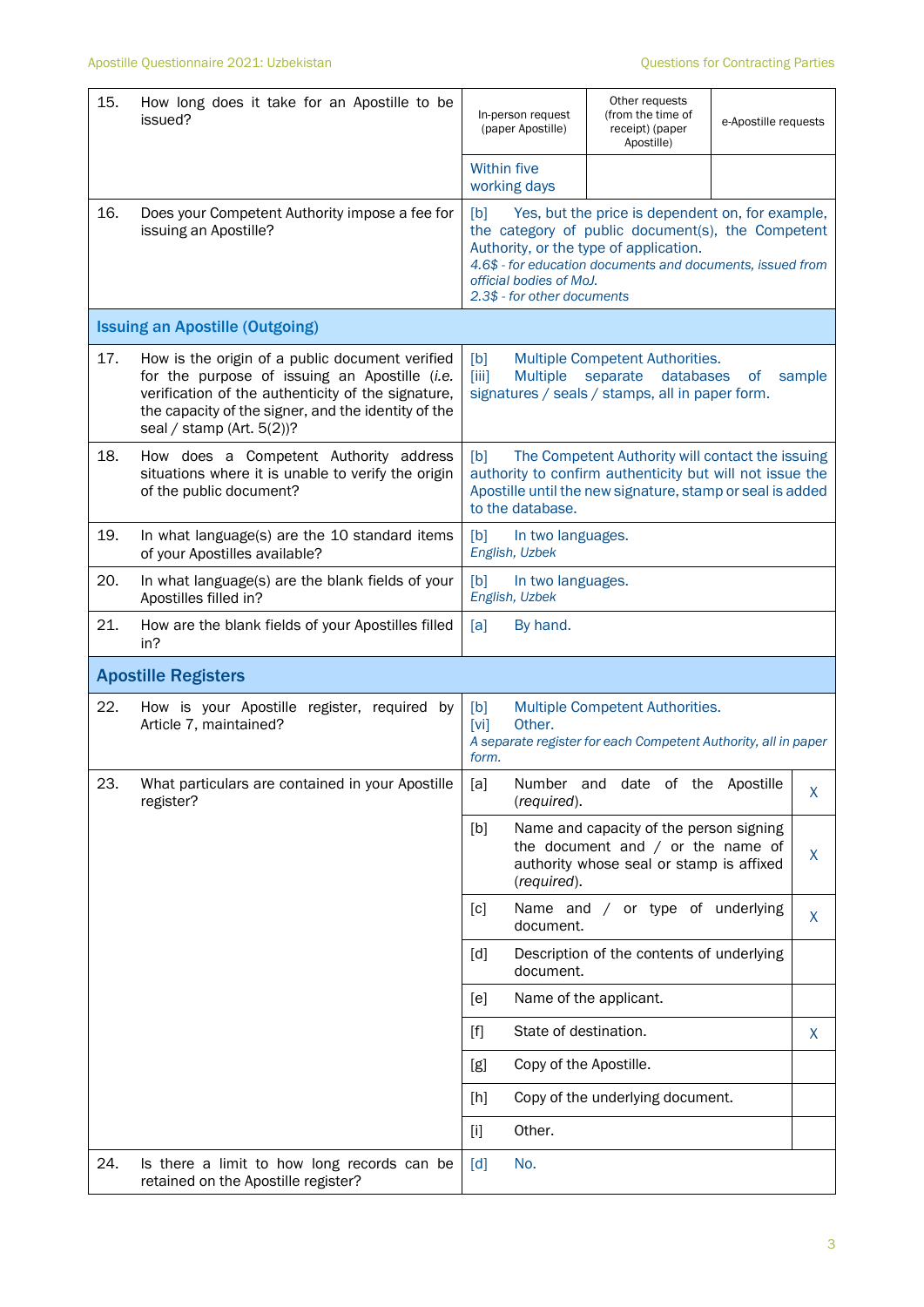| 15.                        | How long does it take for an Apostille to be<br>issued?                                                                                                                                                                                       | In-person request<br>(paper Apostille)                                                                                                                                                                                                                                         | Other requests<br>(from the time of<br>receipt) (paper<br>Apostille)                                                       | e-Apostille requests |   |  |
|----------------------------|-----------------------------------------------------------------------------------------------------------------------------------------------------------------------------------------------------------------------------------------------|--------------------------------------------------------------------------------------------------------------------------------------------------------------------------------------------------------------------------------------------------------------------------------|----------------------------------------------------------------------------------------------------------------------------|----------------------|---|--|
|                            |                                                                                                                                                                                                                                               | Within five<br>working days                                                                                                                                                                                                                                                    |                                                                                                                            |                      |   |  |
| 16.                        | Does your Competent Authority impose a fee for<br>issuing an Apostille?                                                                                                                                                                       | Yes, but the price is dependent on, for example,<br>[b]<br>the category of public document(s), the Competent<br>Authority, or the type of application.<br>4.6\$ - for education documents and documents, issued from<br>official bodies of MoJ.<br>2.3\$ - for other documents |                                                                                                                            |                      |   |  |
|                            | <b>Issuing an Apostille (Outgoing)</b>                                                                                                                                                                                                        |                                                                                                                                                                                                                                                                                |                                                                                                                            |                      |   |  |
| 17.                        | How is the origin of a public document verified<br>for the purpose of issuing an Apostille (i.e.<br>verification of the authenticity of the signature,<br>the capacity of the signer, and the identity of the<br>seal / stamp (Art. $5(2)$ )? | [b]<br>Multiple Competent Authorities.<br>[iii]<br><b>Multiple</b><br>databases<br>separate<br>sample<br>of<br>signatures / seals / stamps, all in paper form.                                                                                                                 |                                                                                                                            |                      |   |  |
| 18.                        | How does a Competent Authority address<br>situations where it is unable to verify the origin<br>of the public document?                                                                                                                       | The Competent Authority will contact the issuing<br>[b]<br>authority to confirm authenticity but will not issue the<br>Apostille until the new signature, stamp or seal is added<br>to the database.                                                                           |                                                                                                                            |                      |   |  |
| 19.                        | In what language(s) are the 10 standard items<br>of your Apostilles available?                                                                                                                                                                | [b]<br>In two languages.<br>English, Uzbek                                                                                                                                                                                                                                     |                                                                                                                            |                      |   |  |
| 20.                        | In what language(s) are the blank fields of your<br>Apostilles filled in?                                                                                                                                                                     | [b]<br>In two languages.<br>English, Uzbek                                                                                                                                                                                                                                     |                                                                                                                            |                      |   |  |
| 21.                        | How are the blank fields of your Apostilles filled<br>in?                                                                                                                                                                                     | [a]<br>By hand.                                                                                                                                                                                                                                                                |                                                                                                                            |                      |   |  |
| <b>Apostille Registers</b> |                                                                                                                                                                                                                                               |                                                                                                                                                                                                                                                                                |                                                                                                                            |                      |   |  |
| 22.                        | How is your Apostille register, required by<br>Article 7, maintained?                                                                                                                                                                         | [b]<br>Other.<br>[vi]<br>form.                                                                                                                                                                                                                                                 | Multiple Competent Authorities.<br>A separate register for each Competent Authority, all in paper                          |                      |   |  |
| 23.                        | What particulars are contained in your Apostille<br>register?                                                                                                                                                                                 | [a]<br>(required).                                                                                                                                                                                                                                                             | Number and date of the Apostille                                                                                           |                      | X |  |
|                            |                                                                                                                                                                                                                                               | [b]<br>(required).                                                                                                                                                                                                                                                             | Name and capacity of the person signing<br>the document and $/$ or the name of<br>authority whose seal or stamp is affixed |                      | X |  |
|                            |                                                                                                                                                                                                                                               | [c]<br>document.                                                                                                                                                                                                                                                               | Name and / or type of underlying                                                                                           |                      | X |  |
|                            |                                                                                                                                                                                                                                               | [d]<br>document.                                                                                                                                                                                                                                                               | Description of the contents of underlying                                                                                  |                      |   |  |
|                            |                                                                                                                                                                                                                                               | [e]                                                                                                                                                                                                                                                                            | Name of the applicant.                                                                                                     |                      |   |  |
|                            |                                                                                                                                                                                                                                               | State of destination.<br>$[f]$                                                                                                                                                                                                                                                 |                                                                                                                            |                      | X |  |
|                            |                                                                                                                                                                                                                                               | [g]<br>Copy of the Apostille.                                                                                                                                                                                                                                                  |                                                                                                                            |                      |   |  |
|                            |                                                                                                                                                                                                                                               | [h]                                                                                                                                                                                                                                                                            | Copy of the underlying document.                                                                                           |                      |   |  |
|                            |                                                                                                                                                                                                                                               | Other.<br>$[1]$                                                                                                                                                                                                                                                                |                                                                                                                            |                      |   |  |
| 24.                        | Is there a limit to how long records can be<br>retained on the Apostille register?                                                                                                                                                            | No.<br>[d]                                                                                                                                                                                                                                                                     |                                                                                                                            |                      |   |  |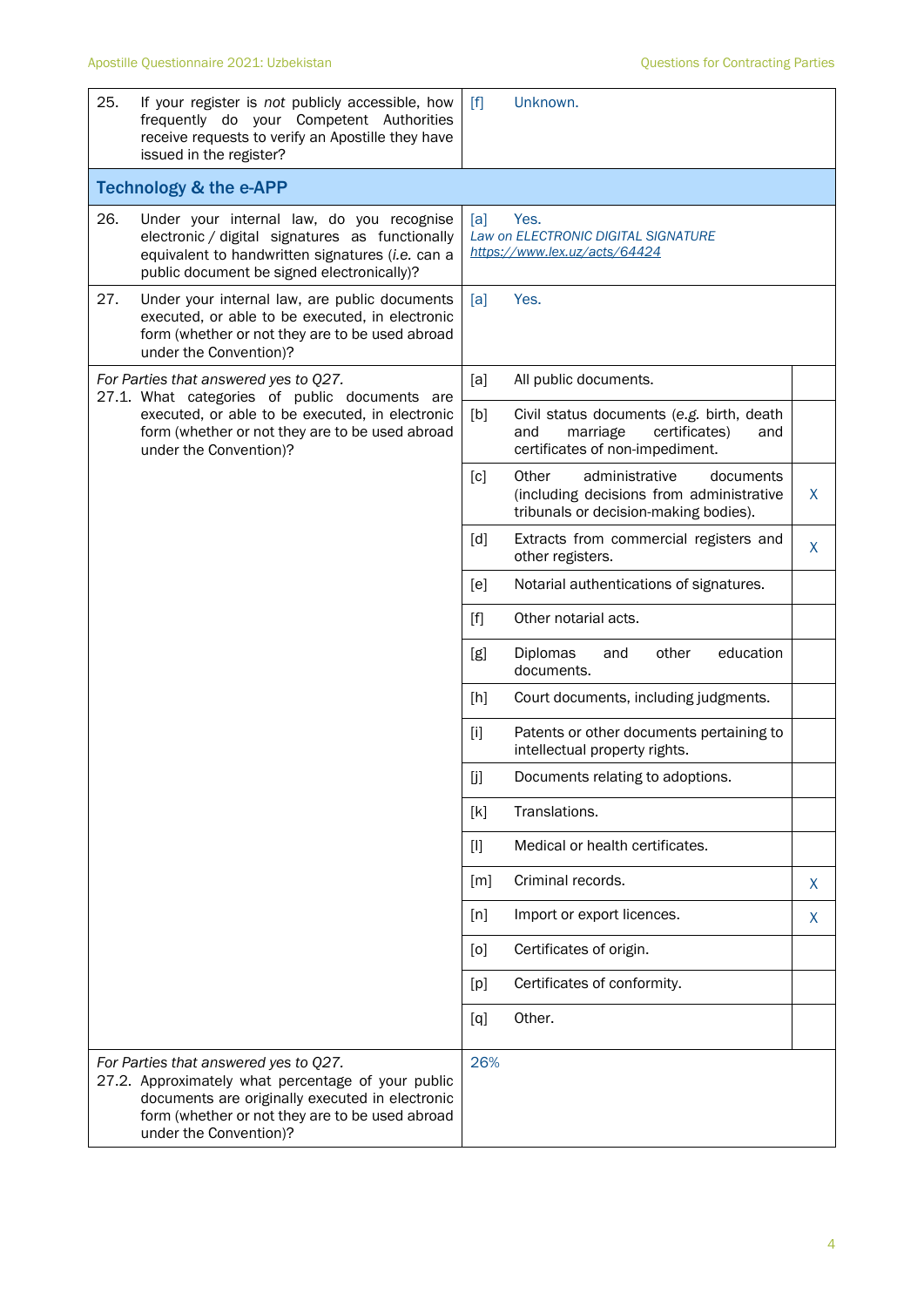| 25. | If your register is not publicly accessible, how<br>frequently do your Competent Authorities<br>receive requests to verify an Apostille they have<br>issued in the register?                                                | $\lceil f \rceil$ | Unknown.                                                                                                                  |    |
|-----|-----------------------------------------------------------------------------------------------------------------------------------------------------------------------------------------------------------------------------|-------------------|---------------------------------------------------------------------------------------------------------------------------|----|
|     | <b>Technology &amp; the e-APP</b>                                                                                                                                                                                           |                   |                                                                                                                           |    |
| 26. | Under your internal law, do you recognise<br>electronic / digital signatures as functionally<br>equivalent to handwritten signatures (i.e. can a<br>public document be signed electronically)?                              | [a]               | Yes.<br>Law on ELECTRONIC DIGITAL SIGNATURE<br>https://www.lex.uz/acts/64424                                              |    |
| 27. | Under your internal law, are public documents<br>executed, or able to be executed, in electronic<br>form (whether or not they are to be used abroad<br>under the Convention)?                                               | [a]               | Yes.                                                                                                                      |    |
|     | For Parties that answered yes to Q27.<br>27.1. What categories of public documents are                                                                                                                                      | [a]               | All public documents.                                                                                                     |    |
|     | executed, or able to be executed, in electronic<br>form (whether or not they are to be used abroad<br>under the Convention)?                                                                                                | [b]               | Civil status documents (e.g. birth, death<br>marriage<br>certificates)<br>and<br>and<br>certificates of non-impediment.   |    |
|     |                                                                                                                                                                                                                             | [c]               | Other<br>administrative<br>documents<br>(including decisions from administrative<br>tribunals or decision-making bodies). | X  |
|     |                                                                                                                                                                                                                             | [d]               | Extracts from commercial registers and<br>other registers.                                                                | X  |
|     |                                                                                                                                                                                                                             | [e]               | Notarial authentications of signatures.                                                                                   |    |
|     |                                                                                                                                                                                                                             | $[f]$             | Other notarial acts.                                                                                                      |    |
|     |                                                                                                                                                                                                                             | [g]               | Diplomas<br>education<br>other<br>and<br>documents.                                                                       |    |
|     |                                                                                                                                                                                                                             | [h]               | Court documents, including judgments.                                                                                     |    |
|     |                                                                                                                                                                                                                             | $[1]$             | Patents or other documents pertaining to<br>intellectual property rights.                                                 |    |
|     |                                                                                                                                                                                                                             | [j                | Documents relating to adoptions.                                                                                          |    |
|     |                                                                                                                                                                                                                             | [k]               | Translations.                                                                                                             |    |
|     |                                                                                                                                                                                                                             | $[1]$             | Medical or health certificates.                                                                                           |    |
|     |                                                                                                                                                                                                                             | [m]               | Criminal records.                                                                                                         | X  |
|     |                                                                                                                                                                                                                             | [n]               | Import or export licences.                                                                                                | X. |
|     |                                                                                                                                                                                                                             | [0]               | Certificates of origin.                                                                                                   |    |
|     |                                                                                                                                                                                                                             | [p]               | Certificates of conformity.                                                                                               |    |
|     |                                                                                                                                                                                                                             | [q]               | Other.                                                                                                                    |    |
|     | For Parties that answered yes to Q27.<br>27.2. Approximately what percentage of your public<br>documents are originally executed in electronic<br>form (whether or not they are to be used abroad<br>under the Convention)? | 26%               |                                                                                                                           |    |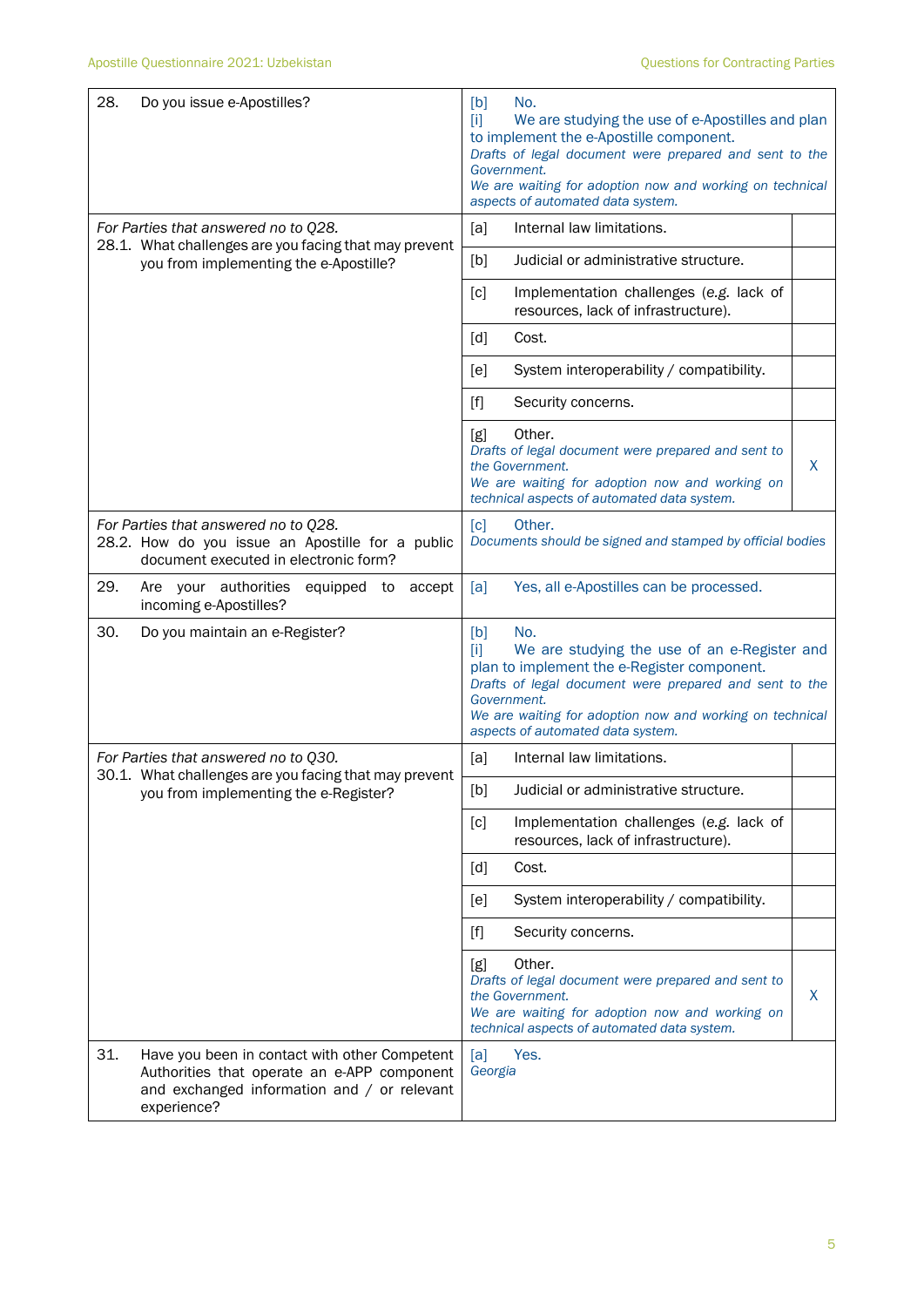| 28.<br>Do you issue e-Apostilles?                                                                                                                                 | No.<br>[b]<br>$[1]$<br>We are studying the use of e-Apostilles and plan<br>to implement the e-Apostille component.<br>Drafts of legal document were prepared and sent to the<br>Government.<br>We are waiting for adoption now and working on technical<br>aspects of automated data system. |  |  |  |
|-------------------------------------------------------------------------------------------------------------------------------------------------------------------|----------------------------------------------------------------------------------------------------------------------------------------------------------------------------------------------------------------------------------------------------------------------------------------------|--|--|--|
| For Parties that answered no to Q28.<br>28.1. What challenges are you facing that may prevent                                                                     | Internal law limitations.<br>[a]                                                                                                                                                                                                                                                             |  |  |  |
| you from implementing the e-Apostille?                                                                                                                            | Judicial or administrative structure.<br>[b]                                                                                                                                                                                                                                                 |  |  |  |
|                                                                                                                                                                   | [c]<br>Implementation challenges (e.g. lack of<br>resources, lack of infrastructure).                                                                                                                                                                                                        |  |  |  |
|                                                                                                                                                                   | Cost.<br>[d]                                                                                                                                                                                                                                                                                 |  |  |  |
|                                                                                                                                                                   | System interoperability / compatibility.<br>[e]                                                                                                                                                                                                                                              |  |  |  |
|                                                                                                                                                                   | $[f]$<br>Security concerns.                                                                                                                                                                                                                                                                  |  |  |  |
|                                                                                                                                                                   | Other.<br>[g]<br>Drafts of legal document were prepared and sent to<br>X<br>the Government.<br>We are waiting for adoption now and working on<br>technical aspects of automated data system.                                                                                                 |  |  |  |
| For Parties that answered no to Q28.<br>28.2. How do you issue an Apostille for a public<br>document executed in electronic form?                                 | Other.<br>$\lceil c \rceil$<br>Documents should be signed and stamped by official bodies                                                                                                                                                                                                     |  |  |  |
| 29.<br>Are your authorities equipped to<br>accept<br>incoming e-Apostilles?                                                                                       | Yes, all e-Apostilles can be processed.<br>[a]                                                                                                                                                                                                                                               |  |  |  |
| 30.<br>Do you maintain an e-Register?                                                                                                                             | No.<br>[b]<br>m<br>We are studying the use of an e-Register and<br>plan to implement the e-Register component.<br>Drafts of legal document were prepared and sent to the<br>Government.<br>We are waiting for adoption now and working on technical<br>aspects of automated data system.     |  |  |  |
| For Parties that answered no to Q30.                                                                                                                              | Internal law limitations.<br>[a]                                                                                                                                                                                                                                                             |  |  |  |
| 30.1. What challenges are you facing that may prevent<br>you from implementing the e-Register?                                                                    | Judicial or administrative structure.<br>[b]                                                                                                                                                                                                                                                 |  |  |  |
|                                                                                                                                                                   | [c]<br>Implementation challenges (e.g. lack of<br>resources, lack of infrastructure).                                                                                                                                                                                                        |  |  |  |
|                                                                                                                                                                   | Cost.<br>[d]                                                                                                                                                                                                                                                                                 |  |  |  |
|                                                                                                                                                                   | System interoperability / compatibility.<br>[e]                                                                                                                                                                                                                                              |  |  |  |
|                                                                                                                                                                   | $[f]$<br>Security concerns.                                                                                                                                                                                                                                                                  |  |  |  |
|                                                                                                                                                                   | Other.<br>[g]<br>Drafts of legal document were prepared and sent to<br>X<br>the Government.<br>We are waiting for adoption now and working on<br>technical aspects of automated data system.                                                                                                 |  |  |  |
| 31.<br>Have you been in contact with other Competent<br>Authorities that operate an e-APP component<br>and exchanged information and / or relevant<br>experience? | [a]<br>Yes.<br>Georgia                                                                                                                                                                                                                                                                       |  |  |  |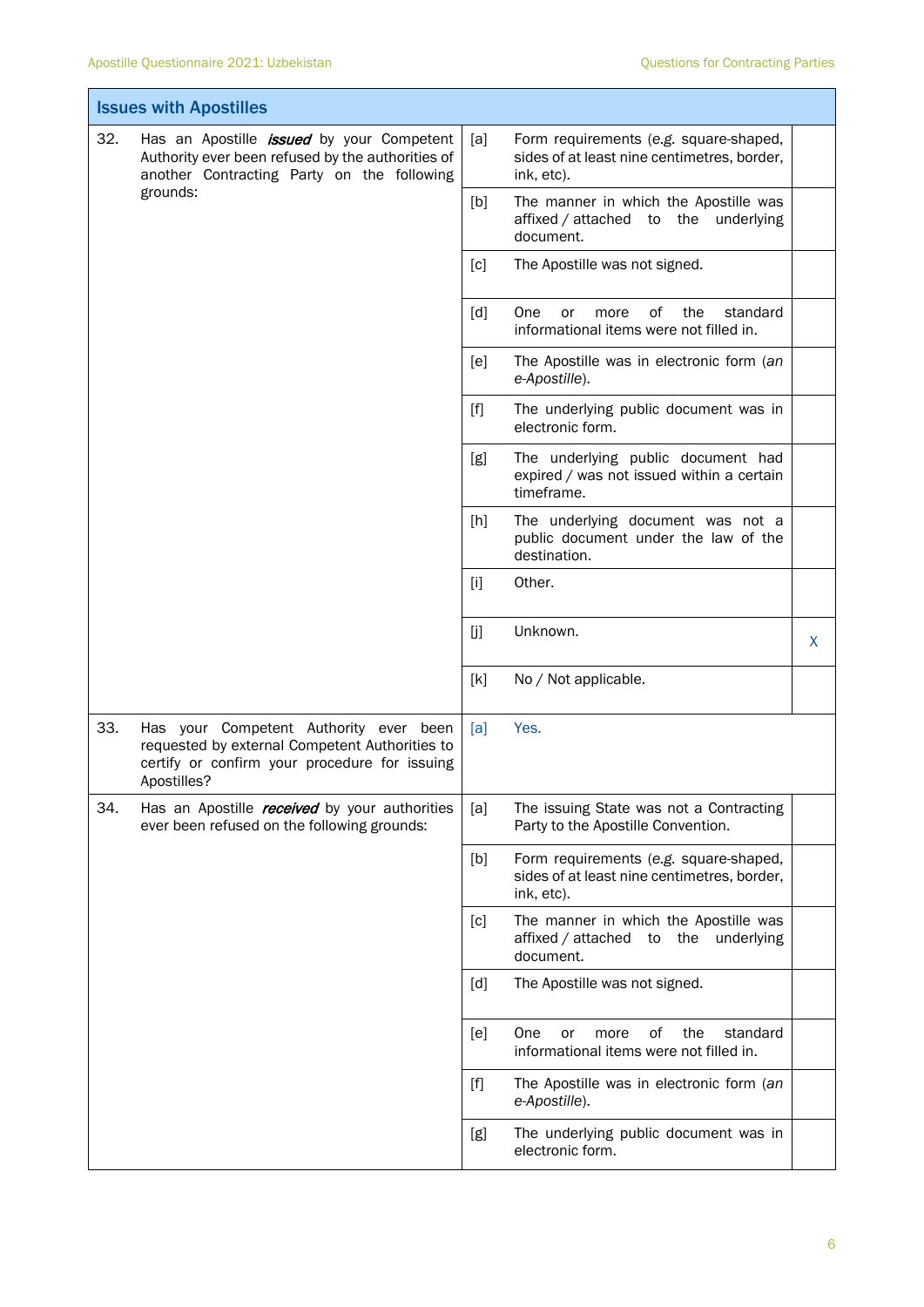| <b>Issues with Apostilles</b> |                                                                                                                                                          |       |                                                                                                     |   |
|-------------------------------|----------------------------------------------------------------------------------------------------------------------------------------------------------|-------|-----------------------------------------------------------------------------------------------------|---|
| 32.                           | Has an Apostille <i>issued</i> by your Competent<br>Authority ever been refused by the authorities of<br>another Contracting Party on the following      | [a]   | Form requirements (e.g. square-shaped,<br>sides of at least nine centimetres, border,<br>ink, etc). |   |
|                               | grounds:                                                                                                                                                 | [b]   | The manner in which the Apostille was<br>affixed / attached to the underlying<br>document.          |   |
|                               |                                                                                                                                                          | [c]   | The Apostille was not signed.                                                                       |   |
|                               |                                                                                                                                                          | [d]   | One<br>0f<br>the<br>standard<br>or<br>more<br>informational items were not filled in.               |   |
|                               |                                                                                                                                                          | [e]   | The Apostille was in electronic form (an<br>e-Apostille).                                           |   |
|                               |                                                                                                                                                          | $[f]$ | The underlying public document was in<br>electronic form.                                           |   |
|                               |                                                                                                                                                          | [g]   | The underlying public document had<br>expired / was not issued within a certain<br>timeframe.       |   |
|                               |                                                                                                                                                          | [h]   | The underlying document was not a<br>public document under the law of the<br>destination.           |   |
|                               |                                                                                                                                                          | $[1]$ | Other.                                                                                              |   |
|                               |                                                                                                                                                          | [j]   | Unknown.                                                                                            | X |
|                               |                                                                                                                                                          | [k]   | No / Not applicable.                                                                                |   |
| 33.                           | Has your Competent Authority ever been<br>requested by external Competent Authorities to<br>certify or confirm your procedure for issuing<br>Apostilles? | [a]   | Yes.                                                                                                |   |
| 34.                           | Has an Apostille <i>received</i> by your authorities<br>ever been refused on the following grounds:                                                      | [a]   | The issuing State was not a Contracting<br>Party to the Apostille Convention.                       |   |
|                               |                                                                                                                                                          | [b]   | Form requirements (e.g. square-shaped,<br>sides of at least nine centimetres, border,<br>ink, etc). |   |
|                               |                                                                                                                                                          | [c]   | The manner in which the Apostille was<br>affixed / attached to the underlying<br>document.          |   |
|                               |                                                                                                                                                          | [d]   | The Apostille was not signed.                                                                       |   |
|                               |                                                                                                                                                          | [e]   | One<br>of<br>the<br>standard<br>or<br>more<br>informational items were not filled in.               |   |
|                               |                                                                                                                                                          |       | The Apostille was in electronic form (an<br>e-Apostille).                                           |   |
|                               |                                                                                                                                                          | [g]   | The underlying public document was in<br>electronic form.                                           |   |